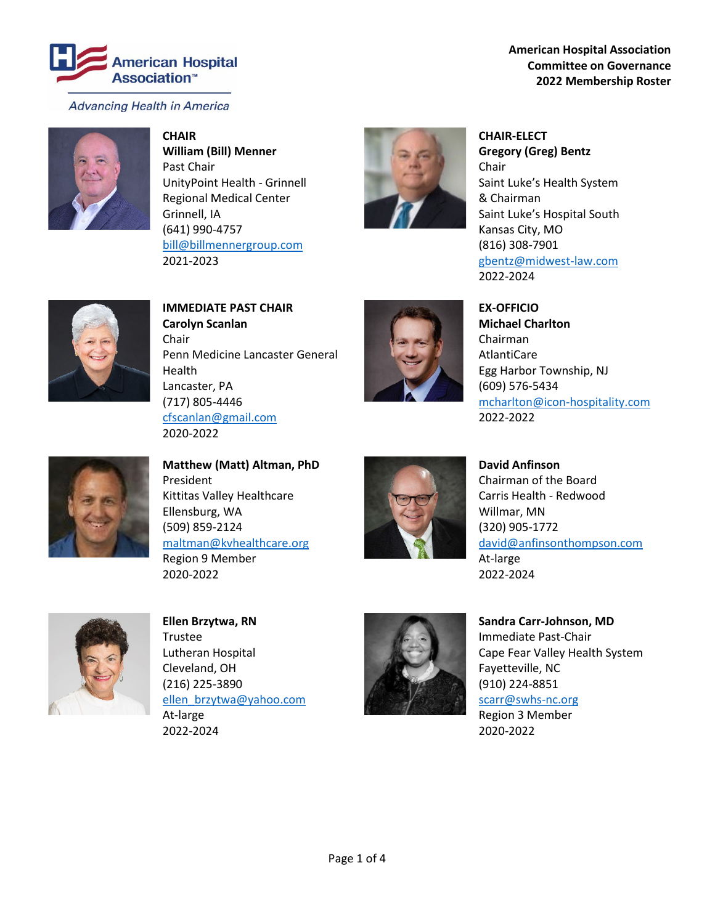

**American Hospital Association Committee on Governance 2022 Membership Roster**



**CHAIR William (Bill) Menner** Past Chair UnityPoint Health - Grinnell Regional Medical Center Grinnell, IA (641) 990-4757 [bill@billmennergroup.com](mailto:bill@billmennergroup.com) 2021-2023



**CHAIR-ELECT Gregory (Greg) Bentz** Chair Saint Luke's Health System & Chairman Saint Luke's Hospital South Kansas City, MO (816) 308-7901 [gbentz@midwest-law.com](mailto:gbentz@midwest-law.com) 2022-2024



**IMMEDIATE PAST CHAIR Carolyn Scanlan** Chair Penn Medicine Lancaster General Health Lancaster, PA (717) 805-4446 [cfscanlan@gmail.com](mailto:cfscanlan@gmail.com) 2020-2022



**EX-OFFICIO Michael Charlton** Chairman AtlantiCare Egg Harbor Township, NJ (609) 576-5434 [mcharlton@icon-hospitality.com](mailto:mcharlton@icon-hospitality.com) 2022-2022



**Matthew (Matt) Altman, PhD** President Kittitas Valley Healthcare Ellensburg, WA (509) 859-2124 [maltman@kvhealthcare.org](mailto:maltman@kvhealthcare.org) Region 9 Member 2020-2022



**David Anfinson** Chairman of the Board Carris Health - Redwood Willmar, MN (320) 905-1772 [david@anfinsonthompson.com](mailto:david@anfinsonthompson.com) At-large 2022-2024



**Ellen Brzytwa, RN** Trustee Lutheran Hospital Cleveland, OH (216) 225-3890 [ellen\\_brzytwa@yahoo.com](mailto:ellen_brzytwa@yahoo.com) At-large 2022-2024



**Sandra Carr-Johnson, MD** Immediate Past-Chair Cape Fear Valley Health System Fayetteville, NC (910) 224-8851 [scarr@swhs-nc.org](mailto:scarr@swhs-nc.org) Region 3 Member 2020-2022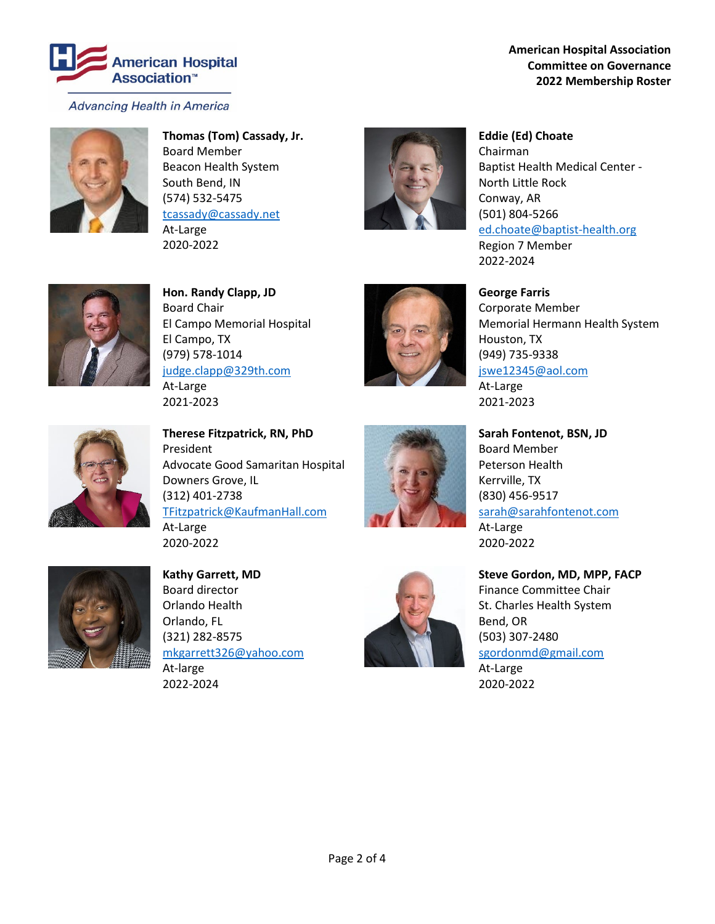

**American Hospital Association Committee on Governance 2022 Membership Roster**



**Thomas (Tom) Cassady, Jr.** Board Member Beacon Health System South Bend, IN (574) 532-5475 [tcassady@cassady.net](mailto:tcassady@cassady.net) At-Large 2020-2022



**Eddie (Ed) Choate** Chairman Baptist Health Medical Center - North Little Rock Conway, AR (501) 804-5266 [ed.choate@baptist-health.org](mailto:ed.choate@baptist-health.org) Region 7 Member 2022-2024



**Hon. Randy Clapp, JD** Board Chair El Campo Memorial Hospital El Campo, TX (979) 578-1014 [judge.clapp@329th.com](mailto:judge.clapp@329th.com) At-Large 2021-2023



**George Farris** Corporate Member Memorial Hermann Health System Houston, TX (949) 735-9338 [jswe12345@aol.com](mailto:jswe12345@aol.com) At-Large

2021-2023



**Therese Fitzpatrick, RN, PhD** President Advocate Good Samaritan Hospital Downers Grove, IL (312) 401-2738 [TFitzpatrick@KaufmanHall.com](mailto:TFitzpatrick@KaufmanHall.com) At-Large



**Sarah Fontenot, BSN, JD** Board Member Peterson Health Kerrville, TX (830) 456-9517 [sarah@sarahfontenot.com](mailto:sarah@sarahfontenot.com) At-Large 2020-2022



**Kathy Garrett, MD** Board director Orlando Health Orlando, FL (321) 282-8575 [mkgarrett326@yahoo.com](mailto:mkgarrett326@yahoo.com) At-large 2022-2024

2020-2022



**Steve Gordon, MD, MPP, FACP** Finance Committee Chair St. Charles Health System Bend, OR (503) 307-2480 [sgordonmd@gmail.com](mailto:sgordonmd@gmail.com) At-Large 2020-2022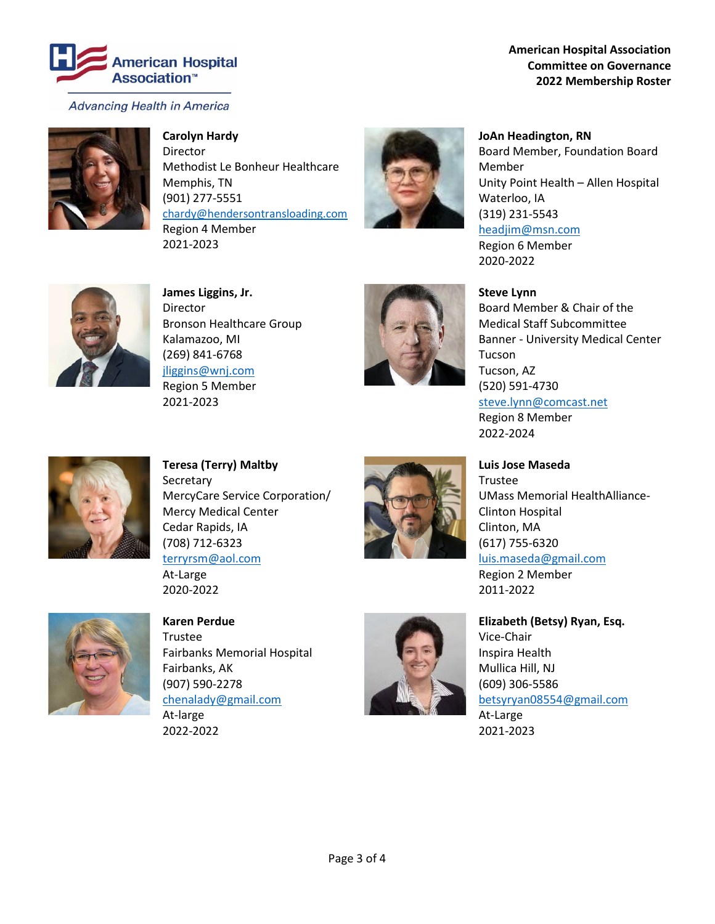

**American Hospital Association Committee on Governance 2022 Membership Roster**



**Carolyn Hardy**

Director Methodist Le Bonheur Healthcare Memphis, TN (901) 277-5551 [chardy@hendersontransloading.com](mailto:chardy@hendersontransloading.com) Region 4 Member 2021-2023



**JoAn Headington, RN** Board Member, Foundation Board Member Unity Point Health – Allen Hospital Waterloo, IA (319) 231-5543 [headjim@msn.com](mailto:headjim@msn.com) Region 6 Member

2020-2022



**James Liggins, Jr.** Director Bronson Healthcare Group Kalamazoo, MI (269) 841-6768 [jliggins@wnj.com](mailto:jliggins@wnj.com) Region 5 Member 2021-2023



**Steve Lynn**

Board Member & Chair of the Medical Staff Subcommittee Banner - University Medical Center Tucson Tucson, AZ (520) 591-4730 [steve.lynn@comcast.net](mailto:steve.lynn@comcast.net) Region 8 Member 2022-2024



**Teresa (Terry) Maltby Secretary** MercyCare Service Corporation/ Mercy Medical Center Cedar Rapids, IA (708) 712-6323 [terryrsm@aol.com](mailto:terryrsm@aol.com) At-Large



**Luis Jose Maseda** Trustee UMass Memorial HealthAlliance-Clinton Hospital Clinton, MA (617) 755-6320 [luis.maseda@gmail.com](mailto:luis.maseda@gmail.com) Region 2 Member 2011-2022



**Karen Perdue** Trustee Fairbanks Memorial Hospital Fairbanks, AK (907) 590-2278 [chenalady@gmail.com](mailto:chenalady@gmail.com) At-large

2020-2022

2022-2022



**Elizabeth (Betsy) Ryan, Esq.** Vice-Chair Inspira Health Mullica Hill, NJ (609) 306-5586 [betsyryan08554@gmail.com](mailto:betsyryan08554@gmail.com) At-Large 2021-2023